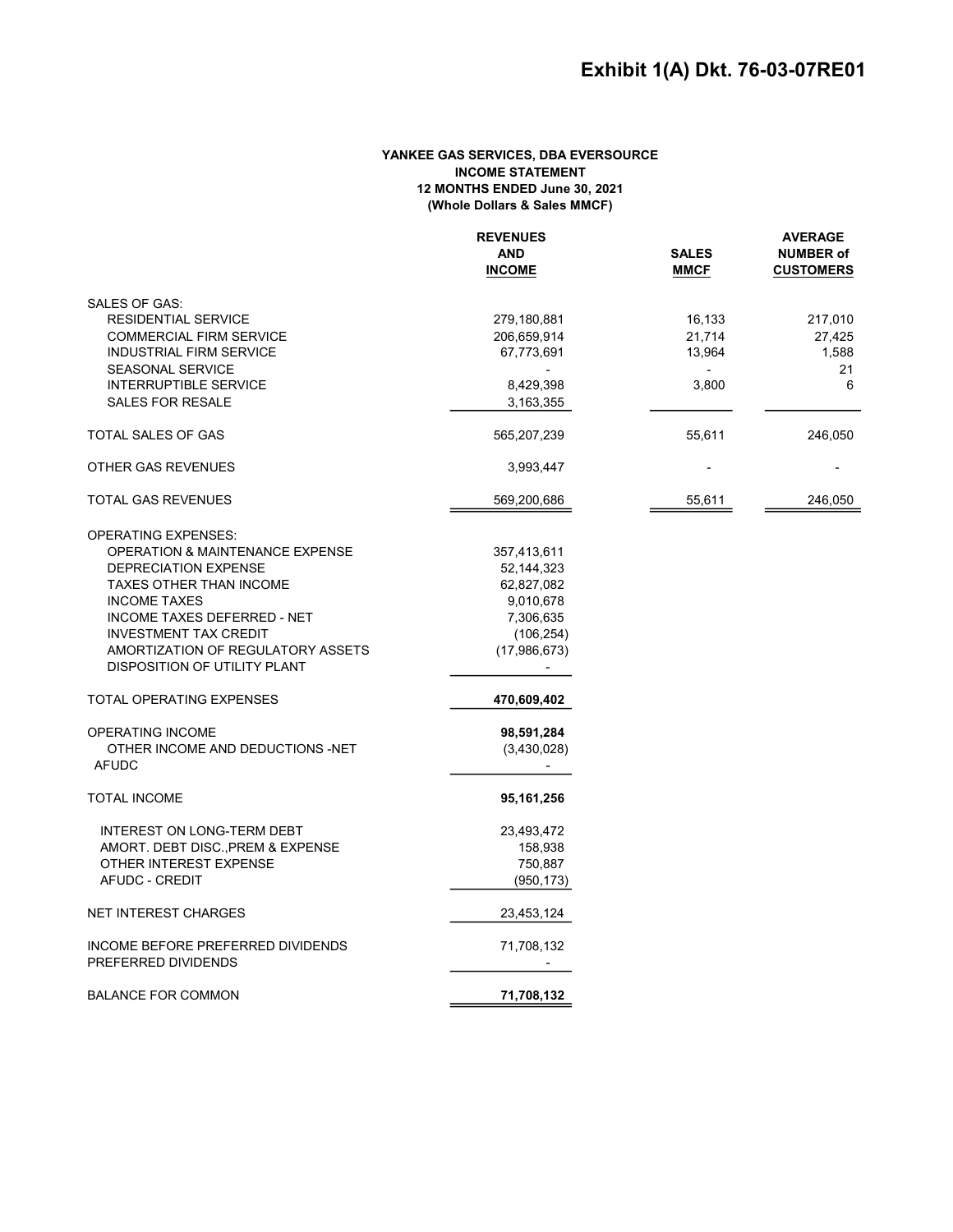# YANKEE GAS SERVICES, DBA EVERSOURCE INCOME STATEMENT 12 MONTHS ENDED June 30, 2021 (Whole Dollars & Sales MMCF)

|                                            | <b>REVENUES</b> |             | <b>AVERAGE</b><br><b>SALES</b><br><b>NUMBER of</b> |  |
|--------------------------------------------|-----------------|-------------|----------------------------------------------------|--|
|                                            | <b>AND</b>      |             |                                                    |  |
|                                            | <b>INCOME</b>   | <b>MMCF</b> | <b>CUSTOMERS</b>                                   |  |
| SALES OF GAS:                              |                 |             |                                                    |  |
| <b>RESIDENTIAL SERVICE</b>                 | 279,180,881     | 16,133      | 217,010                                            |  |
| <b>COMMERCIAL FIRM SERVICE</b>             | 206,659,914     | 21,714      | 27,425                                             |  |
| <b>INDUSTRIAL FIRM SERVICE</b>             | 67,773,691      | 13,964      | 1,588                                              |  |
| <b>SEASONAL SERVICE</b>                    |                 |             | 21                                                 |  |
| <b>INTERRUPTIBLE SERVICE</b>               | 8,429,398       | 3,800       | 6                                                  |  |
| SALES FOR RESALE                           | 3,163,355       |             |                                                    |  |
|                                            |                 |             |                                                    |  |
| <b>TOTAL SALES OF GAS</b>                  | 565,207,239     | 55,611      | 246,050                                            |  |
| OTHER GAS REVENUES                         | 3,993,447       |             |                                                    |  |
| <b>TOTAL GAS REVENUES</b>                  | 569,200,686     | 55,611      | 246,050                                            |  |
| <b>OPERATING EXPENSES:</b>                 |                 |             |                                                    |  |
| <b>OPERATION &amp; MAINTENANCE EXPENSE</b> | 357,413,611     |             |                                                    |  |
| DEPRECIATION EXPENSE                       | 52,144,323      |             |                                                    |  |
| <b>TAXES OTHER THAN INCOME</b>             | 62,827,082      |             |                                                    |  |
| <b>INCOME TAXES</b>                        | 9,010,678       |             |                                                    |  |
| <b>INCOME TAXES DEFERRED - NET</b>         | 7,306,635       |             |                                                    |  |
| <b>INVESTMENT TAX CREDIT</b>               | (106, 254)      |             |                                                    |  |
| AMORTIZATION OF REGULATORY ASSETS          | (17,986,673)    |             |                                                    |  |
| DISPOSITION OF UTILITY PLANT               |                 |             |                                                    |  |
| TOTAL OPERATING EXPENSES                   |                 |             |                                                    |  |
|                                            | 470,609,402     |             |                                                    |  |
| OPERATING INCOME                           | 98,591,284      |             |                                                    |  |
| OTHER INCOME AND DEDUCTIONS -NET           | (3,430,028)     |             |                                                    |  |
| <b>AFUDC</b>                               |                 |             |                                                    |  |
| <b>TOTAL INCOME</b>                        | 95,161,256      |             |                                                    |  |
| INTEREST ON LONG-TERM DEBT                 | 23,493,472      |             |                                                    |  |
| AMORT. DEBT DISC., PREM & EXPENSE          | 158,938         |             |                                                    |  |
| OTHER INTEREST EXPENSE                     | 750,887         |             |                                                    |  |
| AFUDC - CREDIT                             | (950, 173)      |             |                                                    |  |
| <b>NET INTEREST CHARGES</b>                | 23,453,124      |             |                                                    |  |
| INCOME BEFORE PREFERRED DIVIDENDS          | 71,708,132      |             |                                                    |  |
| PREFERRED DIVIDENDS                        |                 |             |                                                    |  |
| <b>BALANCE FOR COMMON</b>                  | 71,708,132      |             |                                                    |  |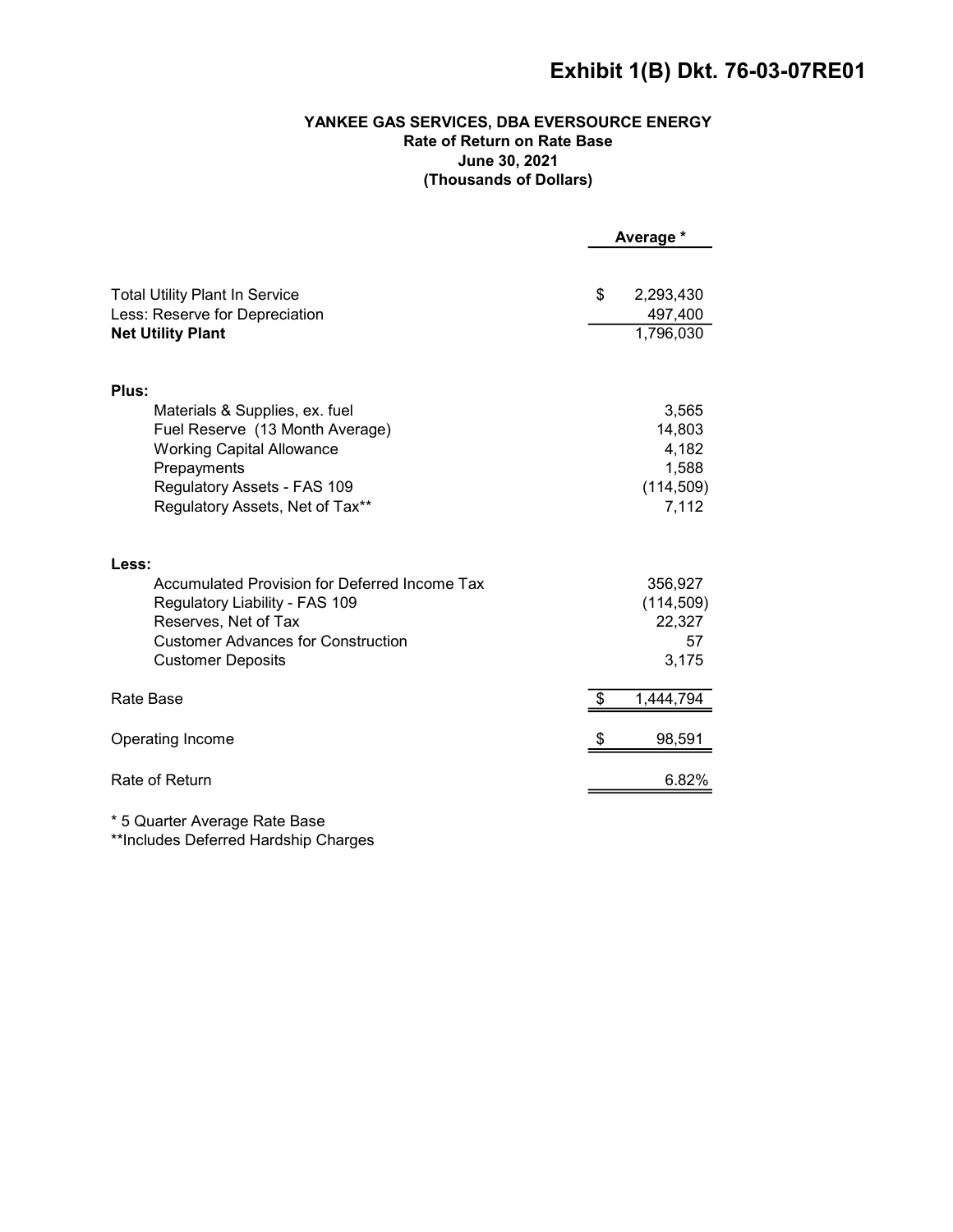# Exhibit 1(B) Dkt. 76-03-07RE01

# YANKEE GAS SERVICES, DBA EVERSOURCE ENERGY Rate of Return on Rate Base June 30, 2021 (Thousands of Dollars)

|                                                                   | Average * |                      |
|-------------------------------------------------------------------|-----------|----------------------|
| <b>Total Utility Plant In Service</b>                             | \$        | 2,293,430            |
| Less: Reserve for Depreciation<br><b>Net Utility Plant</b>        |           | 497,400<br>1,796,030 |
|                                                                   |           |                      |
| Plus:                                                             |           |                      |
| Materials & Supplies, ex. fuel                                    |           | 3,565                |
| Fuel Reserve (13 Month Average)                                   |           | 14,803               |
| <b>Working Capital Allowance</b>                                  |           | 4,182                |
| Prepayments                                                       |           | 1,588                |
| Regulatory Assets - FAS 109<br>Regulatory Assets, Net of Tax**    |           | (114, 509)<br>7,112  |
|                                                                   |           |                      |
| Less:                                                             |           |                      |
| Accumulated Provision for Deferred Income Tax                     |           | 356,927              |
| Regulatory Liability - FAS 109                                    |           | (114, 509)           |
| Reserves, Net of Tax<br><b>Customer Advances for Construction</b> |           | 22,327<br>57         |
| <b>Customer Deposits</b>                                          |           | 3,175                |
|                                                                   |           |                      |
| Rate Base                                                         |           | 1,444,794            |
| Operating Income                                                  |           | 98,591               |
| Rate of Return                                                    |           | 6.82%                |
|                                                                   |           |                      |

\* 5 Quarter Average Rate Base

\*\*Includes Deferred Hardship Charges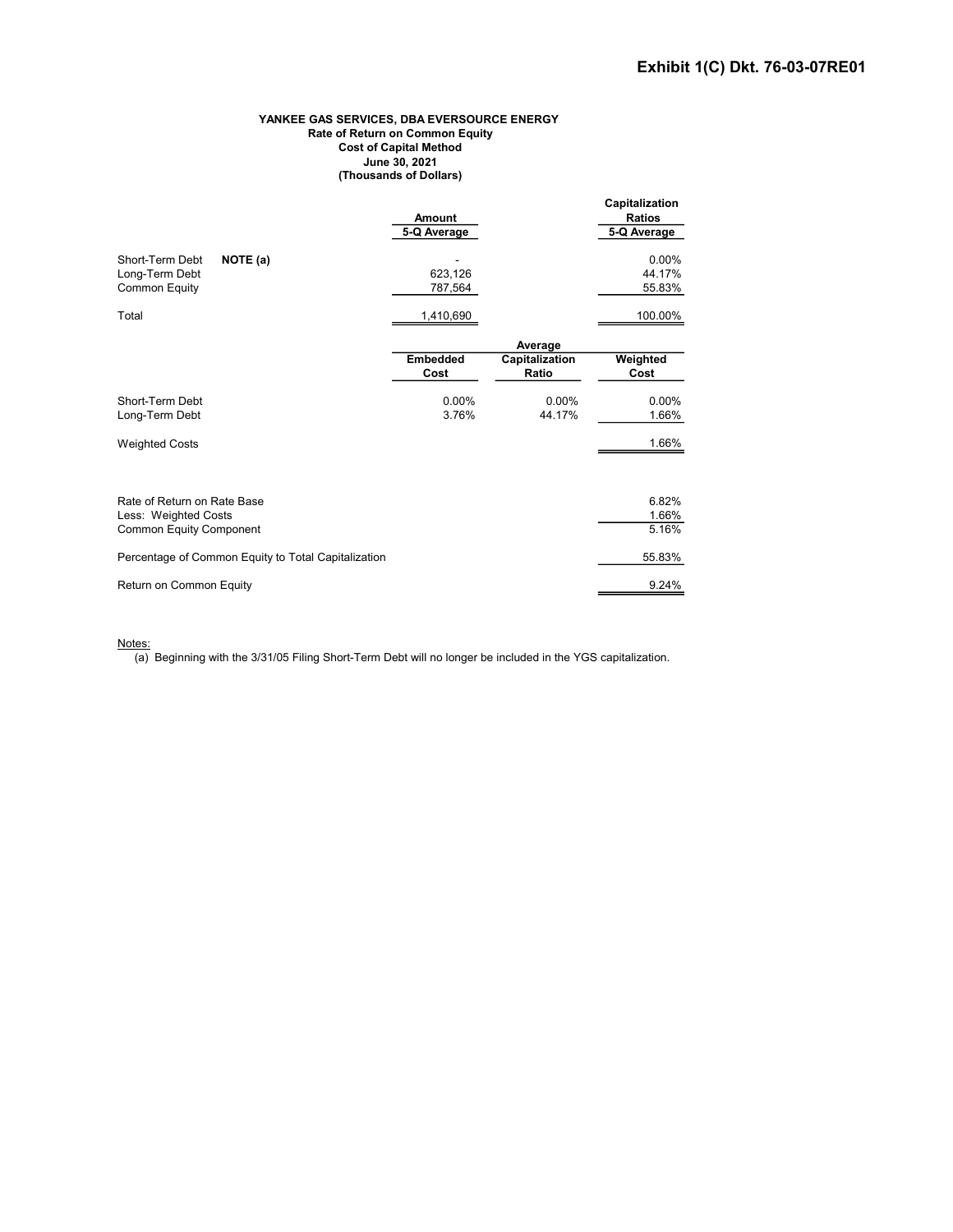#### YANKEE GAS SERVICES, DBA EVERSOURCE ENERGY Rate of Return on Common Equity Cost of Capital Method June 30, 2021 (Thousands of Dollars)

|                                                                       | Amount<br>5-Q Average   |                         | Capitalization<br><b>Ratios</b><br>5-Q Average |
|-----------------------------------------------------------------------|-------------------------|-------------------------|------------------------------------------------|
| NOTE (a)<br>Short-Term Debt<br>Long-Term Debt<br><b>Common Equity</b> | 623,126<br>787,564      |                         | 0.00%<br>44.17%<br>55.83%                      |
| Total                                                                 | 1,410,690               |                         | 100.00%                                        |
|                                                                       |                         | Average                 |                                                |
|                                                                       | <b>Embedded</b><br>Cost | Capitalization<br>Ratio | Weighted<br>Cost                               |
| Short-Term Debt<br>Long-Term Debt                                     | $0.00\%$<br>3.76%       | 0.00%<br>44.17%         | 0.00%<br>1.66%                                 |
| <b>Weighted Costs</b>                                                 |                         |                         | 1.66%                                          |
| Rate of Return on Rate Base                                           |                         |                         | 6.82%                                          |
| Less: Weighted Costs                                                  |                         |                         | 1.66%                                          |
| <b>Common Equity Component</b>                                        |                         |                         | 5.16%                                          |
| Percentage of Common Equity to Total Capitalization                   |                         |                         | 55.83%                                         |
| Return on Common Equity                                               |                         |                         | 9.24%                                          |

Notes:

 $\overline{(a)}$  Beginning with the 3/31/05 Filing Short-Term Debt will no longer be included in the YGS capitalization.